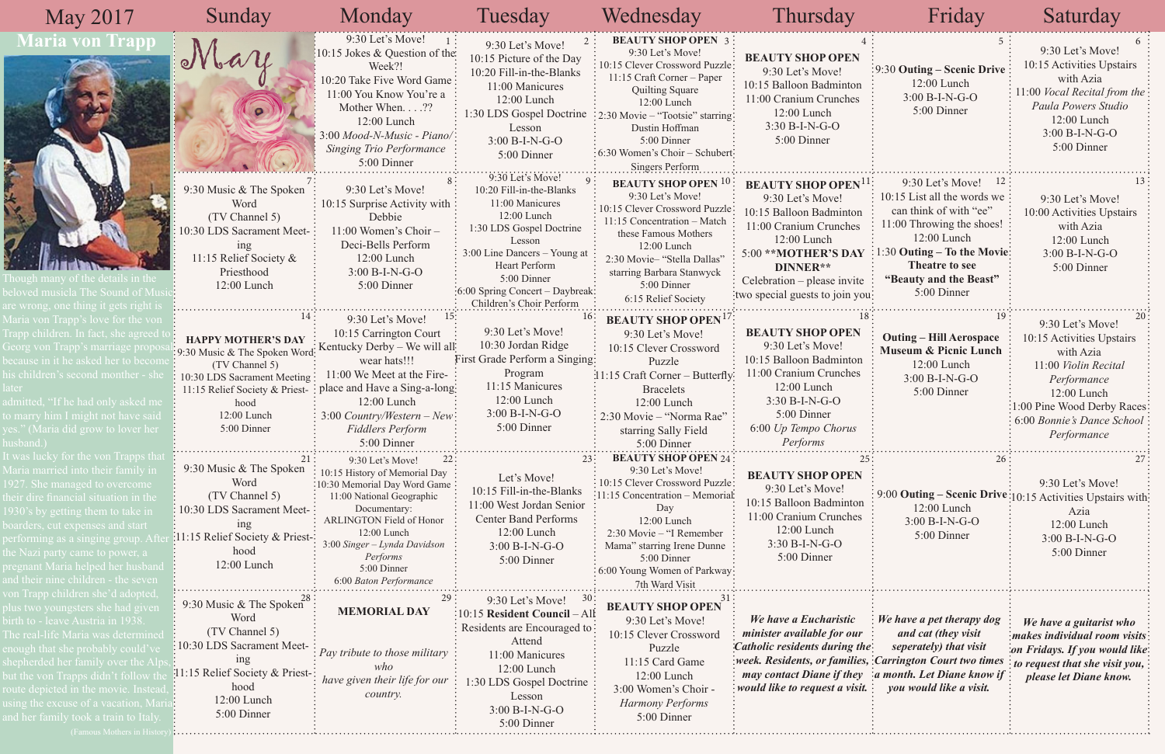| <b>May 2017</b>                                                                                                                                                                                                                                                                                                                                                                                | Sunday                                                                                                                                                                                 | Monday                                                                                                                                                                                                                                                                 | Tuesday                                                                                                                                                                                                                                              | Wednesday                                                                                                                                                                                                                                                                                     | <b>Thursday</b>                                                                                                                                                                                                                    | Friday                                                                                                                                                                                                          | Saturday                                                                                                                                                                                       |
|------------------------------------------------------------------------------------------------------------------------------------------------------------------------------------------------------------------------------------------------------------------------------------------------------------------------------------------------------------------------------------------------|----------------------------------------------------------------------------------------------------------------------------------------------------------------------------------------|------------------------------------------------------------------------------------------------------------------------------------------------------------------------------------------------------------------------------------------------------------------------|------------------------------------------------------------------------------------------------------------------------------------------------------------------------------------------------------------------------------------------------------|-----------------------------------------------------------------------------------------------------------------------------------------------------------------------------------------------------------------------------------------------------------------------------------------------|------------------------------------------------------------------------------------------------------------------------------------------------------------------------------------------------------------------------------------|-----------------------------------------------------------------------------------------------------------------------------------------------------------------------------------------------------------------|------------------------------------------------------------------------------------------------------------------------------------------------------------------------------------------------|
| Maria von Trapp                                                                                                                                                                                                                                                                                                                                                                                | Nare                                                                                                                                                                                   | 9:30 Let's Move!<br>1:<br>10:15 Jokes & Question of the<br>Week?!<br>10:20 Take Five Word Game<br>11:00 You Know You're a<br>Mother When.??<br>12:00 Lunch<br>$3:00$ Mood-N-Music - Piano/<br><b>Singing Trio Performance</b><br>5:00 Dinner                           | 9:30 Let's Move!<br>10:15 Picture of the Day<br>10:20 Fill-in-the-Blanks<br>11:00 Manicures<br>12:00 Lunch<br>1:30 LDS Gospel Doctrine<br>Lesson<br>$3:00 B-I-N-G-O$<br>5:00 Dinner                                                                  | <b>BEAUTY SHOP OPEN 3</b><br>9:30 Let's Move!<br>10:15 Clever Crossword Puzzle<br>11:15 Craft Corner - Paper<br><b>Quilting Square</b><br>12:00 Lunch<br>$\frac{1}{2}$ 2:30 Movie – "Tootsie" starring<br>Dustin Hoffman<br>5:00 Dinner<br>:6:30 Women's Choir - Schubert;<br>Singers Perform | <b>BEAUTY SHOP OPEN</b><br>9:30 Let's Move!<br>10:15 Balloon Badminton<br>11:00 Cranium Crunches<br>12:00 Lunch<br>$3:30 B-I-N-G-O$<br>5:00 Dinner                                                                                 | $\frac{1}{2}$ :30 Outing – Scenic Drive<br>12:00 Lunch<br>$3:00 B-I-N-G-O$<br>5:00 Dinner                                                                                                                       | 9:30 Let's Move!<br>10:15 Activities Upstairs<br>with Azia<br>11:00 Vocal Recital from the<br>Paula Powers Studio<br>12:00 Lunch<br>$3:00 B-I-N-G-O$<br>5:00 Dinner                            |
| hough many of the details in the<br>eloved musicla The Sound of Musi<br>re wrong, one thing it gets right is                                                                                                                                                                                                                                                                                   | 9:30 Music & The Spoken<br>Word<br>(TV Channel 5)<br>0:30 LDS Sacrament Meet-<br>ing<br>11:15 Relief Society &<br>Priesthood<br>12:00 Lunch                                            | 9:30 Let's Move!<br>10:15 Surprise Activity with<br>Debbie<br>$11:00$ Women's Choir -<br>Deci-Bells Perform<br>$12:00$ Lunch<br>$3:00 B-I-N-G-O$<br>5:00 Dinner                                                                                                        | 9:30 Let's Move!<br>10:20 Fill-in-the-Blanks<br>11:00 Manicures<br>12:00 Lunch<br>1:30 LDS Gospel Doctrine<br>Lesson<br>3:00 Line Dancers - Young at<br>Heart Perform<br>5:00 Dinner<br>:6:00 Spring Concert - Daybreak:<br>Children's Choir Perform | <b>BEAUTY SHOP OPEN 10</b><br>9:30 Let's Move!<br>10:15 Clever Crossword Puzzle<br>11:15 Concentration - Match<br>these Famous Mothers<br>12:00 Lunch<br>2:30 Movie-"Stella Dallas'<br>starring Barbara Stanwyck<br>5:00 Dinner<br>6:15 Relief Society                                        | <b>BEAUTY SHOP OPEN<sup>11</sup></b><br>9:30 Let's Move!<br>10:15 Balloon Badminton<br>11:00 Cranium Crunches<br>12:00 Lunch<br>5:00 ** MOTHER'S DAY<br>DINNER**<br>Celebration – please invite<br>two special guests to join you: | 9:30 Let's Move!<br>10:15 List all the words we<br>can think of with "ee"<br>11:00 Throwing the shoes!<br>$12:00$ Lunch<br>:30 Outing – To the Movie<br>Theatre to see<br>"Beauty and the Beast"<br>5:00 Dinner | 9:30 Let's Move!<br>10:00 Activities Upstairs<br>with Azia<br>12:00 Lunch<br>3:00 B-I-N-G-O<br>5:00 Dinner                                                                                     |
| Aaria von Trapp's love for the von<br>Trapp children. In fact, she agreed to<br>eorg von Trapp's marriage proposa<br>ecause in it he asked her to become<br>s children's second monther - sh<br>dmitted, "If he had only asked me<br>p marry him I might not have said<br>es." (Maria did grow to lover her<br>nusband.)                                                                       | <b>HAPPY MOTHER'S DAY</b><br>9:30 Music & The Spoken Word:<br>(TV Channel 5)<br>10:30 LDS Sacrament Meeting<br>11:15 Relief Society & Priest-<br>hood<br>12:00 Lunch<br>5:00 Dinner    | 9:30 Let's Move!<br>10:15 Carrington Court<br>Kentucky Derby - We will all:<br>wear hats!!!<br>11:00 We Meet at the Fire-<br>place and Have a Sing-a-long.<br>12:00 Lunch<br>$3:00$ Country/Western – New:<br><b>Fiddlers Perform</b><br>5:00 Dinner                   | 9:30 Let's Move!<br>10:30 Jordan Ridge<br>First Grade Perform a Singing:<br>Program<br>11:15 Manicures<br>$12:00$ Lunch<br>$3:00 B-I-N-G-O$<br>5:00 Dinner                                                                                           | <b>BEAUTY SHOP OPEN</b> <sup>17</sup><br>9:30 Let's Move!<br>10:15 Clever Crossword<br>Puzzle<br>:11:15 Craft Corner – Butterfly:<br><b>Bracelets</b><br>12:00 Lunch<br>2:30 Movie – "Norma Rae"<br>starring Sally Field<br>5:00 Dinner                                                       | <b>BEAUTY SHOP OPEN</b><br>9:30 Let's Move!<br>10:15 Balloon Badminton<br>11:00 Cranium Crunches<br>$12:00$ Lunch<br>3:30 B-I-N-G-O<br>5:00 Dinner<br>6:00 Up Tempo Chorus<br>Performs                                             | <b>Outing – Hill Aerospace</b><br><b>Museum &amp; Picnic Lunch</b><br>12:00 Lunch<br>$3:00 B-I-N-G-O$<br>5:00 Dinner                                                                                            | 9:30 Let's Move!<br>10:15 Activities Upstairs<br>with Azia<br>11:00 Violin Recital<br>Performance<br>12:00 Lunch<br>:1:00 Pine Wood Derby Races<br>: 6:00 Bonnie's Dance School<br>Performance |
| t was lucky for the von Trapps that<br>Aaria married into their family in<br>1927. She managed to overcome<br>heir dire financial situation in the<br>1930's by getting them to take in<br>poarders, cut expenses and start<br>erforming as a singing group. Aft<br>he Nazi party came to power, a<br>pregnant Maria helped her husband<br>and their nine children - the seven                 | 9:30 Music & The Spoken<br>Word<br>(TV Channel 5)<br>10:30 LDS Sacrament Meet-<br>ing<br>:11:15 Relief Society & Priest-<br>hood<br>12:00 Lunch                                        | 9:30 Let's Move!<br>10:15 History of Memorial Day<br>:10:30 Memorial Day Word Game<br>11:00 National Geographic<br>Documentary:<br><b>ARLINGTON Field of Honor</b><br>12:00 Lunch<br>3:00 Singer - Lynda Davidson<br>Performs<br>5:00 Dinner<br>6:00 Baton Performance | Let's Move!<br>10:15 Fill-in-the-Blanks<br>11:00 West Jordan Senior<br><b>Center Band Performs</b><br>12:00 Lunch<br>$3:00 B-I-N-G-O$<br>5:00 Dinner                                                                                                 | <b>BEAUTY SHOP OPEN 24</b><br>9:30 Let's Move!<br>10:15 Clever Crossword Puzzle:<br>:11:15 Concentration - Memorial:<br>Day<br>12:00 Lunch<br>2:30 Movie – "I Remember<br>Mama" starring Irene Dunne<br>5:00 Dinner<br>: 6:00 Young Women of Parkway<br>7th Ward Visit                        | <b>BEAUTY SHOP OPEN</b><br>9:30 Let's Move!<br>10:15 Balloon Badminton<br>11:00 Cranium Crunches<br>12:00 Lunch<br>$3:30 B-I-N-G-O$<br>5:00 Dinner                                                                                 | 12:00 Lunch<br>3:00 B-I-N-G-O<br>5:00 Dinner                                                                                                                                                                    | 9:30 Let's Move!<br>9:00 Outing - Scenic Drive: 10:15 Activities Upstairs with<br>Azia<br>12:00 Lunch<br>3:00 B-I-N-G-O<br>5:00 Dinner                                                         |
| von Trapp children she'd adopted,<br>plus two youngsters she had given<br>birth to - leave Austria in 1938.<br>The real-life Maria was determined<br>enough that she probably could've<br>epherded her family over the Alps,<br>out the von Trapps didn't follow th<br>route depicted in the movie. Instead,<br>using the excuse of a vacation, Maria<br>and her family took a train to Italy. | 9:30 Music & The Spoken <sup>28</sup><br>Word<br>(TV Channel 5)<br>:10:30 LDS Sacrament Meet-<br>$\frac{1}{2}$<br>11:15 Relief Society & Priest-<br>hood<br>12:00 Lunch<br>5:00 Dinner | 29:<br><b>MEMORIAL DAY</b><br>Pay tribute to those military<br>who<br>have given their life for our<br>country.                                                                                                                                                        | 9:30 Let's Move!<br>$:10:15$ Resident Council – All<br>Residents are Encouraged to:<br>Attend<br>11:00 Manicures<br>12:00 Lunch<br>1:30 LDS Gospel Doctrine<br>Lesson<br>$3:00 B-I-N-G-O$<br>5:00 Dinner                                             | <b>BEAUTY SHOP OPEN</b><br>9:30 Let's Move!<br>10:15 Clever Crossword<br>Puzzle<br>11:15 Card Game<br>$12:00$ Lunch<br>3:00 Women's Choir -<br><b>Harmony Performs</b><br>5:00 Dinner                                                                                                         | We have a Eucharistic<br>minister available for our<br>:Catholic residents during the:<br>week. Residents, or families, Carrington Court two times<br>would like to request a visit.                                               | $\frac{1}{2}$ We have a pet therapy dog<br>and cat (they visit<br>seperately) that visit<br>may contact Diane if they a month. Let Diane know if $\frac{1}{2}$<br>you would like a visit.                       | We have a guitarist who<br>makes individual room visits<br>on Fridays. If you would like<br>$\frac{1}{2}$ : to request that she visit you,<br>please let Diane know.                           |

**CALLAND** 

|                                                                                  | Friday                                                                                                                                                                                                                         | Saturday                                                                                                                                                                                          |
|----------------------------------------------------------------------------------|--------------------------------------------------------------------------------------------------------------------------------------------------------------------------------------------------------------------------------|---------------------------------------------------------------------------------------------------------------------------------------------------------------------------------------------------|
| $\overline{4}$<br>Ñ<br>'n<br>'S                                                  | 5<br>9:30 Outing – Scenic Drive<br>12:00 Lunch<br>3:00 B-I-N-G-O<br>5:00 Dinner                                                                                                                                                | 6<br>9:30 Let's Move!<br>10:15 Activities Upstairs<br>with Azia<br>11:00 Vocal Recital from the<br>Paula Powers Studio<br>12:00 Lunch<br>3:00 B-I-N-G-O<br>5:00 Dinner                            |
| $\mathbf{V}^{11}$<br>)n<br>$\mathbf{S}$<br>$\overline{\mathbf{Y}}$<br>ite<br>you | 12<br>9:30 Let's Move!<br>10:15 List all the words we<br>can think of with "ee"<br>11:00 Throwing the shoes!<br>12:00 Lunch<br>$1:30$ Outing – To the Movie:<br><b>Theatre to see</b><br>"Beauty and the Beast"<br>5:00 Dinner | 13<br>9:30 Let's Move!<br>10:00 Activities Upstairs<br>with Azia<br>12:00 Lunch<br>$3:00 B-I-N-G-O$<br>5:00 Dinner                                                                                |
| 18<br>N<br><sub>)n</sub><br>$\mathbf{S}$<br>ς                                    | 19<br><b>Outing – Hill Aerospace</b><br><b>Museum &amp; Picnic Lunch</b><br>12:00 Lunch<br>3:00 B-I-N-G-O<br>5:00 Dinner                                                                                                       | 20<br>9:30 Let's Move!<br>10:15 Activities Upstairs<br>with Azia<br>11:00 Violin Recital<br>Performance<br>12:00 Lunch<br>1:00 Pine Wood Derby Races<br>6:00 Bonnie's Dance School<br>Performance |
| 25<br>N<br>on<br>es                                                              | 26<br>9:00 Outing – Scenic Drive<br>12:00 Lunch<br>$3:00 B-I-N-G-O$<br>5:00 Dinner                                                                                                                                             | .<br>27<br>9:30 Let's Move!<br>:10:15 Activities Upstairs with:<br>Azia<br>12:00 Lunch<br>$3:00 B-I-N-G-O$<br>5:00 Dinner                                                                         |
| ur<br>the:<br>ies,<br>e y<br>sit.                                                | We have a pet therapy dog<br>and cat (they visit<br>seperately) that visit<br><b>Carrington Court two times</b><br>$\frac{1}{2}$ a month. Let Diane know if<br>you would like a visit.                                         | We have a guitarist who<br>makes individual room visits<br>on Fridays. If you would like<br>to request that she visit you,<br>please let Diane know.                                              |